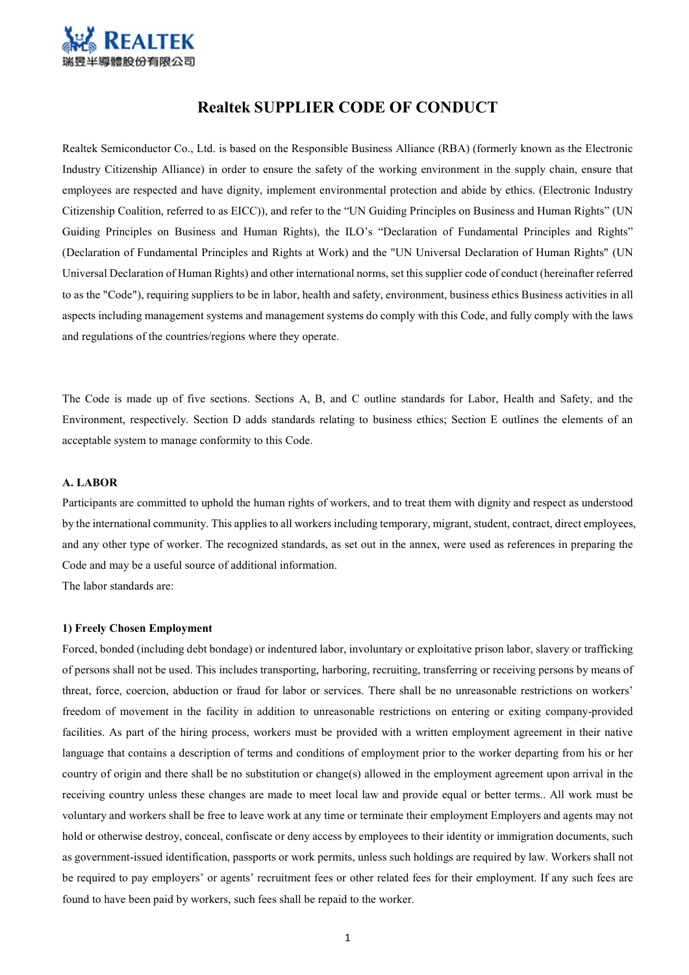

# Realtek SUPPLIER CODE OF CONDUCT

Realtek Semiconductor Co., Ltd. is based on the Responsible Business Alliance (RBA) (formerly known as the Electronic Industry Citizenship Alliance) in order to ensure the safety of the working environment in the supply chain, ensure that employees are respected and have dignity, implement environmental protection and abide by ethics. (Electronic Industry Citizenship Coalition, referred to as EICC)), and refer to the "UN Guiding Principles on Business and Human Rights" (UN Guiding Principles on Business and Human Rights), the ILO's "Declaration of Fundamental Principles and Rights" (Declaration of Fundamental Principles and Rights at Work) and the "UN Universal Declaration of Human Rights" (UN Universal Declaration of Human Rights) and other international norms, set this supplier code of conduct (hereinafter referred to as the "Code"), requiring suppliers to be in labor, health and safety, environment, business ethics Business activities in all aspects including management systems and management systems do comply with this Code, and fully comply with the laws and regulations of the countries/regions where they operate.

The Code is made up of five sections. Sections A, B, and C outline standards for Labor, Health and Safety, and the Environment, respectively. Section D adds standards relating to business ethics; Section E outlines the elements of an acceptable system to manage conformity to this Code.

### A. LABOR

Participants are committed to uphold the human rights of workers, and to treat them with dignity and respect as understood by the international community. This applies to all workers including temporary, migrant, student, contract, direct employees, and any other type of worker. The recognized standards, as set out in the annex, were used as references in preparing the Code and may be a useful source of additional information.

The labor standards are:

#### 1) Freely Chosen Employment

Forced, bonded (including debt bondage) or indentured labor, involuntary or exploitative prison labor, slavery or trafficking of persons shall not be used. This includes transporting, harboring, recruiting, transferring or receiving persons by means of threat, force, coercion, abduction or fraud for labor or services. There shall be no unreasonable restrictions on workers' freedom of movement in the facility in addition to unreasonable restrictions on entering or exiting company-provided facilities. As part of the hiring process, workers must be provided with a written employment agreement in their native language that contains a description of terms and conditions of employment prior to the worker departing from his or her country of origin and there shall be no substitution or change(s) allowed in the employment agreement upon arrival in the receiving country unless these changes are made to meet local law and provide equal or better terms.. All work must be voluntary and workers shall be free to leave work at any time or terminate their employment Employers and agents may not hold or otherwise destroy, conceal, confiscate or deny access by employees to their identity or immigration documents, such as government-issued identification, passports or work permits, unless such holdings are required by law. Workers shall not be required to pay employers' or agents' recruitment fees or other related fees for their employment. If any such fees are found to have been paid by workers, such fees shall be repaid to the worker.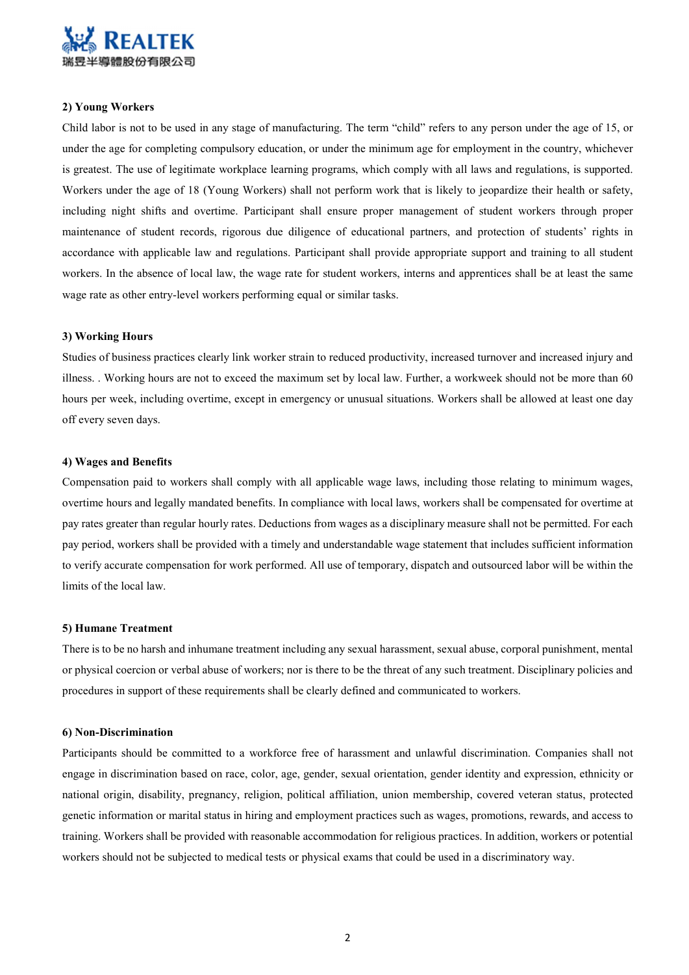

### 2) Young Workers

Child labor is not to be used in any stage of manufacturing. The term "child" refers to any person under the age of 15, or under the age for completing compulsory education, or under the minimum age for employment in the country, whichever is greatest. The use of legitimate workplace learning programs, which comply with all laws and regulations, is supported. Workers under the age of 18 (Young Workers) shall not perform work that is likely to jeopardize their health or safety, including night shifts and overtime. Participant shall ensure proper management of student workers through proper maintenance of student records, rigorous due diligence of educational partners, and protection of students' rights in accordance with applicable law and regulations. Participant shall provide appropriate support and training to all student workers. In the absence of local law, the wage rate for student workers, interns and apprentices shall be at least the same wage rate as other entry-level workers performing equal or similar tasks.

#### 3) Working Hours

Studies of business practices clearly link worker strain to reduced productivity, increased turnover and increased injury and illness. . Working hours are not to exceed the maximum set by local law. Further, a workweek should not be more than 60 hours per week, including overtime, except in emergency or unusual situations. Workers shall be allowed at least one day off every seven days.

### 4) Wages and Benefits

Compensation paid to workers shall comply with all applicable wage laws, including those relating to minimum wages, overtime hours and legally mandated benefits. In compliance with local laws, workers shall be compensated for overtime at pay rates greater than regular hourly rates. Deductions from wages as a disciplinary measure shall not be permitted. For each pay period, workers shall be provided with a timely and understandable wage statement that includes sufficient information to verify accurate compensation for work performed. All use of temporary, dispatch and outsourced labor will be within the limits of the local law.

#### 5) Humane Treatment

There is to be no harsh and inhumane treatment including any sexual harassment, sexual abuse, corporal punishment, mental or physical coercion or verbal abuse of workers; nor is there to be the threat of any such treatment. Disciplinary policies and procedures in support of these requirements shall be clearly defined and communicated to workers.

#### 6) Non-Discrimination

Participants should be committed to a workforce free of harassment and unlawful discrimination. Companies shall not engage in discrimination based on race, color, age, gender, sexual orientation, gender identity and expression, ethnicity or national origin, disability, pregnancy, religion, political affiliation, union membership, covered veteran status, protected genetic information or marital status in hiring and employment practices such as wages, promotions, rewards, and access to training. Workers shall be provided with reasonable accommodation for religious practices. In addition, workers or potential workers should not be subjected to medical tests or physical exams that could be used in a discriminatory way.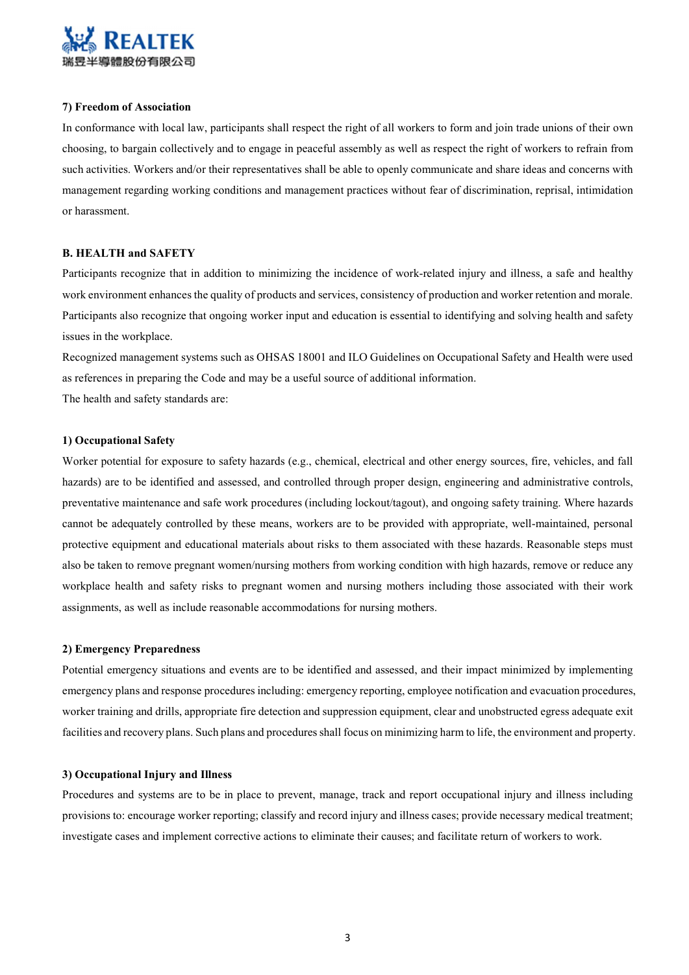

### 7) Freedom of Association

In conformance with local law, participants shall respect the right of all workers to form and join trade unions of their own choosing, to bargain collectively and to engage in peaceful assembly as well as respect the right of workers to refrain from such activities. Workers and/or their representatives shall be able to openly communicate and share ideas and concerns with management regarding working conditions and management practices without fear of discrimination, reprisal, intimidation or harassment.

### B. HEALTH and SAFETY

Participants recognize that in addition to minimizing the incidence of work-related injury and illness, a safe and healthy work environment enhances the quality of products and services, consistency of production and worker retention and morale. Participants also recognize that ongoing worker input and education is essential to identifying and solving health and safety issues in the workplace.

Recognized management systems such as OHSAS 18001 and ILO Guidelines on Occupational Safety and Health were used as references in preparing the Code and may be a useful source of additional information. The health and safety standards are:

#### 1) Occupational Safety

Worker potential for exposure to safety hazards (e.g., chemical, electrical and other energy sources, fire, vehicles, and fall hazards) are to be identified and assessed, and controlled through proper design, engineering and administrative controls, preventative maintenance and safe work procedures (including lockout/tagout), and ongoing safety training. Where hazards cannot be adequately controlled by these means, workers are to be provided with appropriate, well-maintained, personal protective equipment and educational materials about risks to them associated with these hazards. Reasonable steps must also be taken to remove pregnant women/nursing mothers from working condition with high hazards, remove or reduce any workplace health and safety risks to pregnant women and nursing mothers including those associated with their work assignments, as well as include reasonable accommodations for nursing mothers.

#### 2) Emergency Preparedness

Potential emergency situations and events are to be identified and assessed, and their impact minimized by implementing emergency plans and response procedures including: emergency reporting, employee notification and evacuation procedures, worker training and drills, appropriate fire detection and suppression equipment, clear and unobstructed egress adequate exit facilities and recovery plans. Such plans and procedures shall focus on minimizing harm to life, the environment and property.

#### 3) Occupational Injury and Illness

Procedures and systems are to be in place to prevent, manage, track and report occupational injury and illness including provisions to: encourage worker reporting; classify and record injury and illness cases; provide necessary medical treatment; investigate cases and implement corrective actions to eliminate their causes; and facilitate return of workers to work.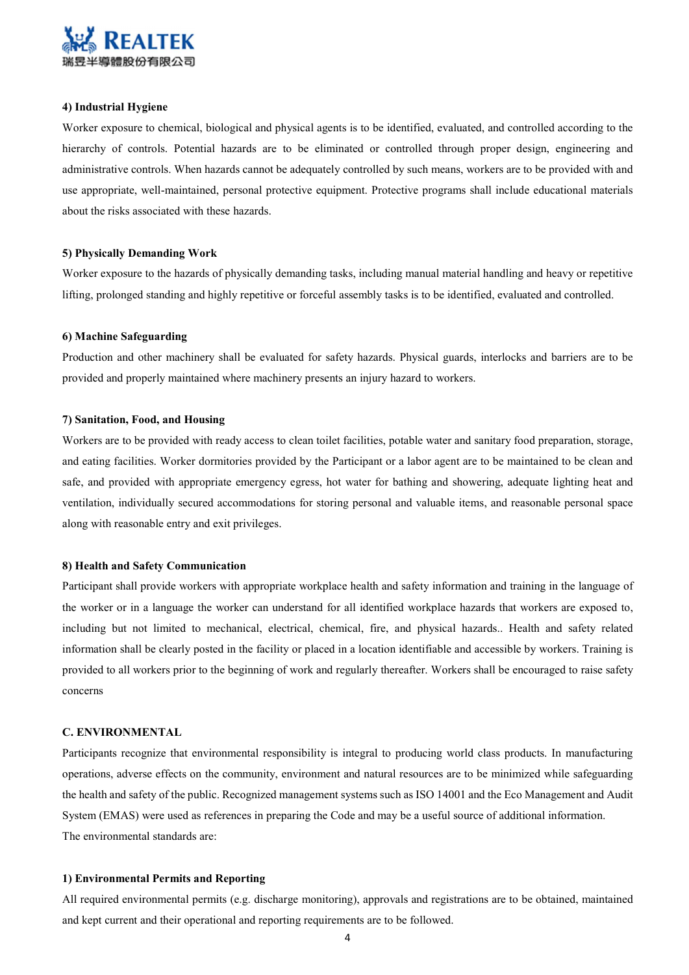

### 4) Industrial Hygiene

Worker exposure to chemical, biological and physical agents is to be identified, evaluated, and controlled according to the hierarchy of controls. Potential hazards are to be eliminated or controlled through proper design, engineering and administrative controls. When hazards cannot be adequately controlled by such means, workers are to be provided with and use appropriate, well-maintained, personal protective equipment. Protective programs shall include educational materials about the risks associated with these hazards.

#### 5) Physically Demanding Work

Worker exposure to the hazards of physically demanding tasks, including manual material handling and heavy or repetitive lifting, prolonged standing and highly repetitive or forceful assembly tasks is to be identified, evaluated and controlled.

#### 6) Machine Safeguarding

Production and other machinery shall be evaluated for safety hazards. Physical guards, interlocks and barriers are to be provided and properly maintained where machinery presents an injury hazard to workers.

### 7) Sanitation, Food, and Housing

Workers are to be provided with ready access to clean toilet facilities, potable water and sanitary food preparation, storage, and eating facilities. Worker dormitories provided by the Participant or a labor agent are to be maintained to be clean and safe, and provided with appropriate emergency egress, hot water for bathing and showering, adequate lighting heat and ventilation, individually secured accommodations for storing personal and valuable items, and reasonable personal space along with reasonable entry and exit privileges.

### 8) Health and Safety Communication

Participant shall provide workers with appropriate workplace health and safety information and training in the language of the worker or in a language the worker can understand for all identified workplace hazards that workers are exposed to, including but not limited to mechanical, electrical, chemical, fire, and physical hazards.. Health and safety related information shall be clearly posted in the facility or placed in a location identifiable and accessible by workers. Training is provided to all workers prior to the beginning of work and regularly thereafter. Workers shall be encouraged to raise safety concerns

### C. ENVIRONMENTAL

Participants recognize that environmental responsibility is integral to producing world class products. In manufacturing operations, adverse effects on the community, environment and natural resources are to be minimized while safeguarding the health and safety of the public. Recognized management systems such as ISO 14001 and the Eco Management and Audit System (EMAS) were used as references in preparing the Code and may be a useful source of additional information. The environmental standards are:

#### 1) Environmental Permits and Reporting

All required environmental permits (e.g. discharge monitoring), approvals and registrations are to be obtained, maintained and kept current and their operational and reporting requirements are to be followed.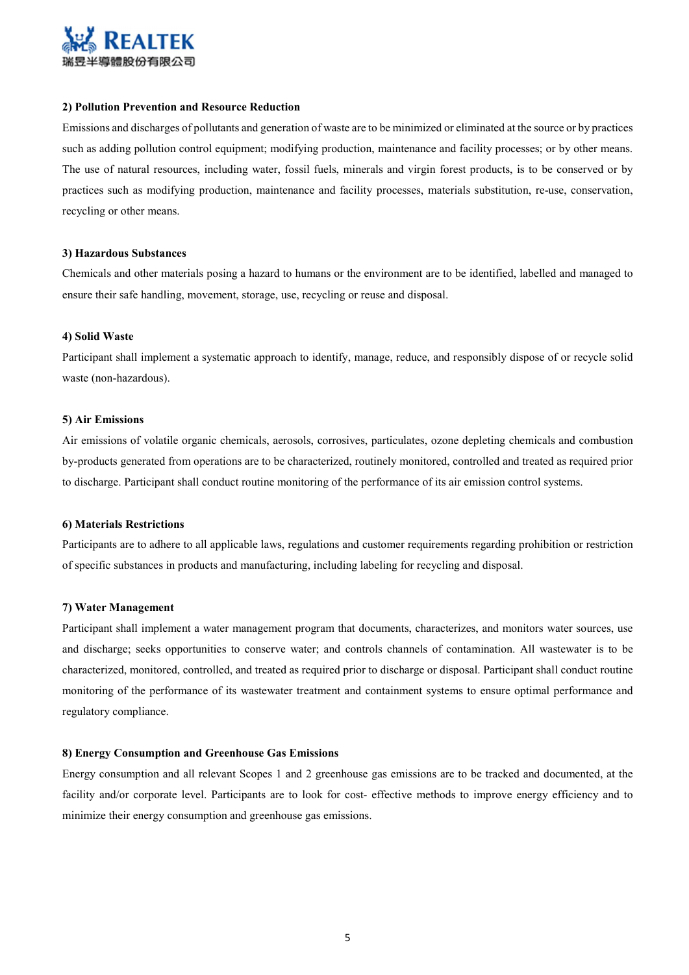

### 2) Pollution Prevention and Resource Reduction

Emissions and discharges of pollutants and generation of waste are to be minimized or eliminated at the source or by practices such as adding pollution control equipment; modifying production, maintenance and facility processes; or by other means. The use of natural resources, including water, fossil fuels, minerals and virgin forest products, is to be conserved or by practices such as modifying production, maintenance and facility processes, materials substitution, re-use, conservation, recycling or other means.

#### 3) Hazardous Substances

Chemicals and other materials posing a hazard to humans or the environment are to be identified, labelled and managed to ensure their safe handling, movement, storage, use, recycling or reuse and disposal.

#### 4) Solid Waste

Participant shall implement a systematic approach to identify, manage, reduce, and responsibly dispose of or recycle solid waste (non-hazardous).

#### 5) Air Emissions

Air emissions of volatile organic chemicals, aerosols, corrosives, particulates, ozone depleting chemicals and combustion by-products generated from operations are to be characterized, routinely monitored, controlled and treated as required prior to discharge. Participant shall conduct routine monitoring of the performance of its air emission control systems.

#### 6) Materials Restrictions

Participants are to adhere to all applicable laws, regulations and customer requirements regarding prohibition or restriction of specific substances in products and manufacturing, including labeling for recycling and disposal.

#### 7) Water Management

Participant shall implement a water management program that documents, characterizes, and monitors water sources, use and discharge; seeks opportunities to conserve water; and controls channels of contamination. All wastewater is to be characterized, monitored, controlled, and treated as required prior to discharge or disposal. Participant shall conduct routine monitoring of the performance of its wastewater treatment and containment systems to ensure optimal performance and regulatory compliance.

#### 8) Energy Consumption and Greenhouse Gas Emissions

Energy consumption and all relevant Scopes 1 and 2 greenhouse gas emissions are to be tracked and documented, at the facility and/or corporate level. Participants are to look for cost- effective methods to improve energy efficiency and to minimize their energy consumption and greenhouse gas emissions.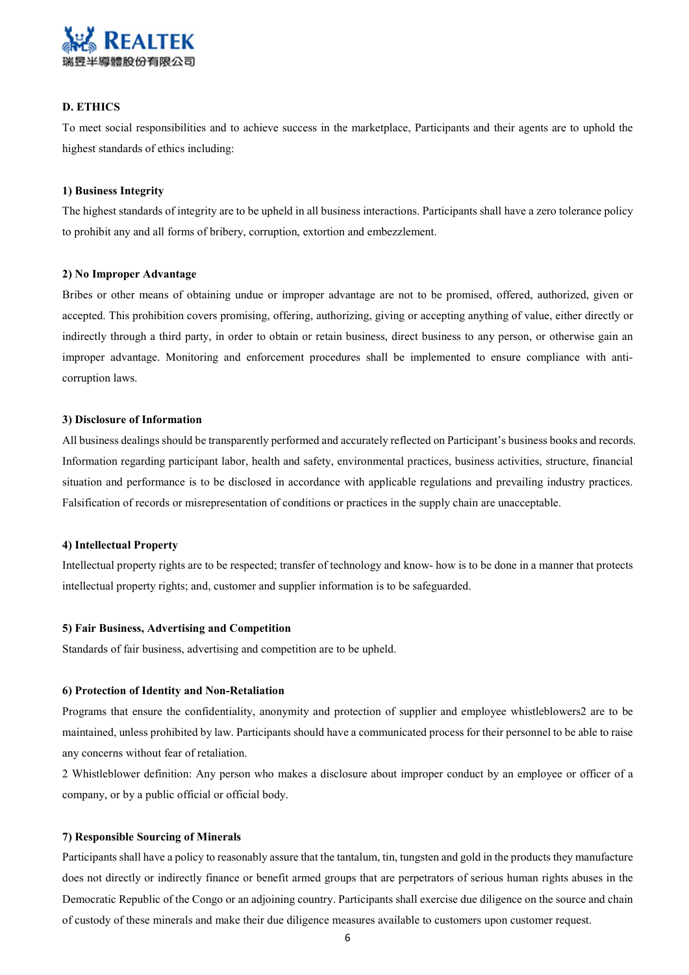

### D. ETHICS

To meet social responsibilities and to achieve success in the marketplace, Participants and their agents are to uphold the highest standards of ethics including:

#### 1) Business Integrity

The highest standards of integrity are to be upheld in all business interactions. Participants shall have a zero tolerance policy to prohibit any and all forms of bribery, corruption, extortion and embezzlement.

#### 2) No Improper Advantage

Bribes or other means of obtaining undue or improper advantage are not to be promised, offered, authorized, given or accepted. This prohibition covers promising, offering, authorizing, giving or accepting anything of value, either directly or indirectly through a third party, in order to obtain or retain business, direct business to any person, or otherwise gain an improper advantage. Monitoring and enforcement procedures shall be implemented to ensure compliance with anticorruption laws.

#### 3) Disclosure of Information

All business dealings should be transparently performed and accurately reflected on Participant's business books and records. Information regarding participant labor, health and safety, environmental practices, business activities, structure, financial situation and performance is to be disclosed in accordance with applicable regulations and prevailing industry practices. Falsification of records or misrepresentation of conditions or practices in the supply chain are unacceptable.

#### 4) Intellectual Property

Intellectual property rights are to be respected; transfer of technology and know- how is to be done in a manner that protects intellectual property rights; and, customer and supplier information is to be safeguarded.

### 5) Fair Business, Advertising and Competition

Standards of fair business, advertising and competition are to be upheld.

#### 6) Protection of Identity and Non-Retaliation

Programs that ensure the confidentiality, anonymity and protection of supplier and employee whistleblowers2 are to be maintained, unless prohibited by law. Participants should have a communicated process for their personnel to be able to raise any concerns without fear of retaliation.

2 Whistleblower definition: Any person who makes a disclosure about improper conduct by an employee or officer of a company, or by a public official or official body.

#### 7) Responsible Sourcing of Minerals

Participants shall have a policy to reasonably assure that the tantalum, tin, tungsten and gold in the products they manufacture does not directly or indirectly finance or benefit armed groups that are perpetrators of serious human rights abuses in the Democratic Republic of the Congo or an adjoining country. Participants shall exercise due diligence on the source and chain of custody of these minerals and make their due diligence measures available to customers upon customer request.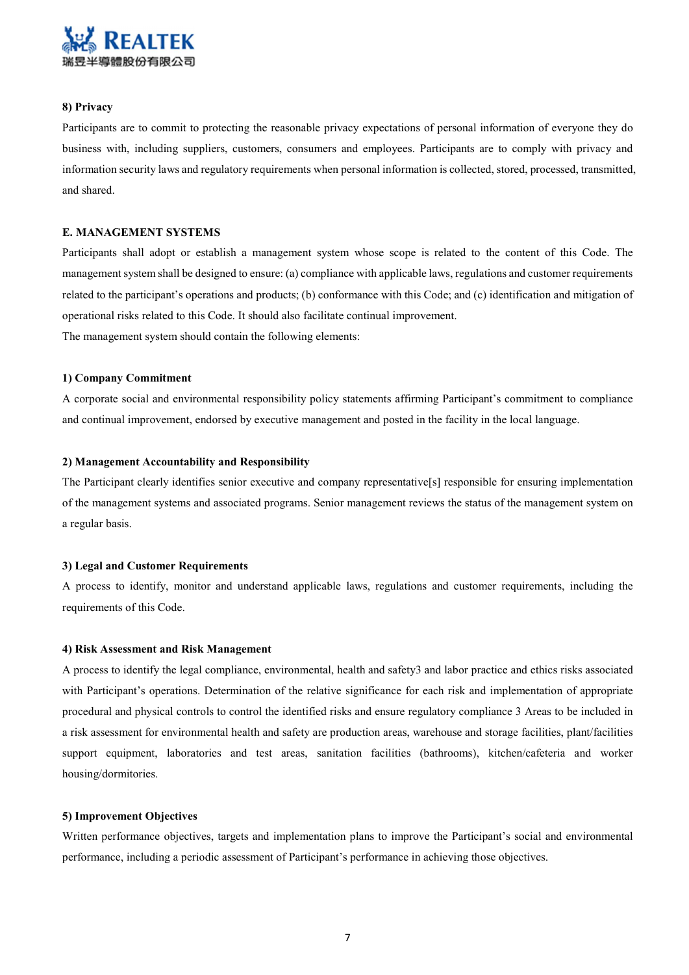

### 8) Privacy

Participants are to commit to protecting the reasonable privacy expectations of personal information of everyone they do business with, including suppliers, customers, consumers and employees. Participants are to comply with privacy and information security laws and regulatory requirements when personal information is collected, stored, processed, transmitted, and shared.

### E. MANAGEMENT SYSTEMS

Participants shall adopt or establish a management system whose scope is related to the content of this Code. The management system shall be designed to ensure: (a) compliance with applicable laws, regulations and customer requirements related to the participant's operations and products; (b) conformance with this Code; and (c) identification and mitigation of operational risks related to this Code. It should also facilitate continual improvement. The management system should contain the following elements:

### 1) Company Commitment

A corporate social and environmental responsibility policy statements affirming Participant's commitment to compliance and continual improvement, endorsed by executive management and posted in the facility in the local language.

### 2) Management Accountability and Responsibility

The Participant clearly identifies senior executive and company representative[s] responsible for ensuring implementation of the management systems and associated programs. Senior management reviews the status of the management system on a regular basis.

### 3) Legal and Customer Requirements

A process to identify, monitor and understand applicable laws, regulations and customer requirements, including the requirements of this Code.

#### 4) Risk Assessment and Risk Management

A process to identify the legal compliance, environmental, health and safety3 and labor practice and ethics risks associated with Participant's operations. Determination of the relative significance for each risk and implementation of appropriate procedural and physical controls to control the identified risks and ensure regulatory compliance 3 Areas to be included in a risk assessment for environmental health and safety are production areas, warehouse and storage facilities, plant/facilities support equipment, laboratories and test areas, sanitation facilities (bathrooms), kitchen/cafeteria and worker housing/dormitories.

### 5) Improvement Objectives

Written performance objectives, targets and implementation plans to improve the Participant's social and environmental performance, including a periodic assessment of Participant's performance in achieving those objectives.